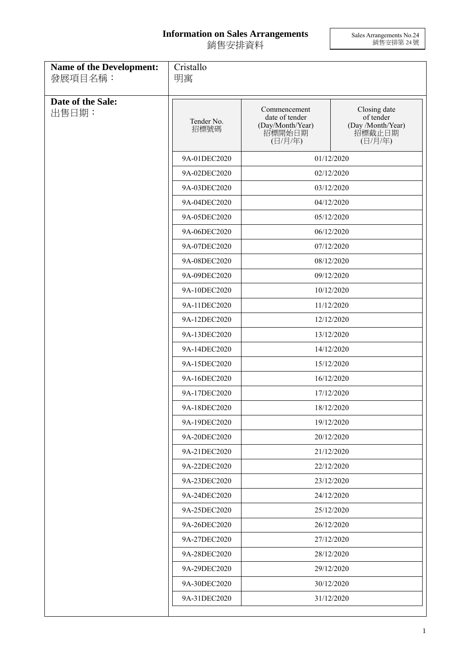## **Information on Sales Arrangements** 銷售安排資料

Sales Arrangements No.24 銷售安排第 24 號

| <b>Name of the Development:</b><br>發展項目名稱: | Cristallo<br>明寓    |                                                                         |                                                                     |  |
|--------------------------------------------|--------------------|-------------------------------------------------------------------------|---------------------------------------------------------------------|--|
| Date of the Sale:<br>出售日期:                 | Tender No.<br>招標號碼 | Commencement<br>date of tender<br>(Day/Month/Year)<br>招標開始日期<br>(日/月/年) | Closing date<br>of tender<br>(Day /Month/Year)<br>招標截止日期<br>(日/月/年) |  |
|                                            | 9A-01DEC2020       |                                                                         | 01/12/2020                                                          |  |
|                                            | 9A-02DEC2020       |                                                                         | 02/12/2020                                                          |  |
|                                            | 9A-03DEC2020       |                                                                         | 03/12/2020                                                          |  |
|                                            | 9A-04DEC2020       |                                                                         | 04/12/2020                                                          |  |
|                                            | 9A-05DEC2020       |                                                                         | 05/12/2020                                                          |  |
|                                            | 9A-06DEC2020       | 06/12/2020                                                              |                                                                     |  |
|                                            | 9A-07DEC2020       |                                                                         | 07/12/2020                                                          |  |
|                                            | 9A-08DEC2020       |                                                                         | 08/12/2020                                                          |  |
|                                            | 9A-09DEC2020       | 09/12/2020<br>10/12/2020<br>11/12/2020<br>12/12/2020                    |                                                                     |  |
|                                            | 9A-10DEC2020       |                                                                         |                                                                     |  |
|                                            | 9A-11DEC2020       |                                                                         |                                                                     |  |
|                                            | 9A-12DEC2020       |                                                                         |                                                                     |  |
|                                            | 9A-13DEC2020       |                                                                         | 13/12/2020                                                          |  |
|                                            | 9A-14DEC2020       | 14/12/2020                                                              |                                                                     |  |
|                                            | 9A-15DEC2020       |                                                                         | 15/12/2020                                                          |  |
|                                            | 9A-16DEC2020       |                                                                         | 16/12/2020                                                          |  |
|                                            | 9A-17DEC2020       |                                                                         | 17/12/2020                                                          |  |
|                                            | 9A-18DEC2020       |                                                                         | 18/12/2020                                                          |  |
|                                            | 9A-19DEC2020       |                                                                         | 19/12/2020                                                          |  |
|                                            | 9A-20DEC2020       |                                                                         | 20/12/2020                                                          |  |
|                                            | 9A-21DEC2020       | 21/12/2020                                                              |                                                                     |  |
|                                            | 9A-22DEC2020       | 22/12/2020                                                              |                                                                     |  |
|                                            | 9A-23DEC2020       |                                                                         | 23/12/2020                                                          |  |
|                                            | 9A-24DEC2020       |                                                                         | 24/12/2020                                                          |  |
|                                            | 9A-25DEC2020       |                                                                         | 25/12/2020                                                          |  |
|                                            | 9A-26DEC2020       | 26/12/2020                                                              |                                                                     |  |
|                                            | 9A-27DEC2020       | 27/12/2020                                                              |                                                                     |  |
|                                            | 9A-28DEC2020       | 28/12/2020                                                              |                                                                     |  |
|                                            | 9A-29DEC2020       | 29/12/2020                                                              |                                                                     |  |
|                                            | 9A-30DEC2020       |                                                                         | 30/12/2020                                                          |  |
|                                            | 9A-31DEC2020       |                                                                         | 31/12/2020                                                          |  |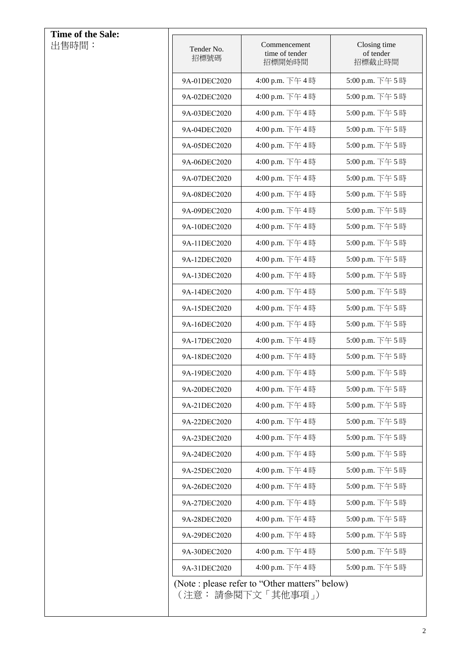| Time of the Sale:<br>出售時間: | Tender No.   | Commencement<br>time of tender                                        | Closing time<br>of tender |
|----------------------------|--------------|-----------------------------------------------------------------------|---------------------------|
|                            | 招標號碼         | 招標開始時間                                                                | 招標截止時間                    |
|                            | 9A-01DEC2020 | 4:00 p.m. 下午4時                                                        | 5:00 p.m. 下午5時            |
|                            | 9A-02DEC2020 | 4:00 p.m. 下午4時                                                        | 5:00 p.m. 下午5時            |
|                            | 9A-03DEC2020 | 4:00 p.m. 下午4時                                                        | 5:00 p.m. 下午5時            |
|                            | 9A-04DEC2020 | 4:00 p.m. 下午4時                                                        | 5:00 p.m. 下午5時            |
|                            | 9A-05DEC2020 | 4:00 p.m. 下午4時                                                        | 5:00 p.m. 下午5時            |
|                            | 9A-06DEC2020 | 4:00 p.m. 下午4時                                                        | 5:00 p.m. 下午5時            |
|                            | 9A-07DEC2020 | 4:00 p.m. 下午4時                                                        | 5:00 p.m. 下午5時            |
|                            | 9A-08DEC2020 | 4:00 p.m. 下午4時                                                        | 5:00 p.m. 下午5時            |
|                            | 9A-09DEC2020 | 4:00 p.m. 下午4時                                                        | 5:00 p.m. 下午5時            |
|                            | 9A-10DEC2020 | 4:00 p.m. 下午4時                                                        | 5:00 p.m. 下午5時            |
|                            | 9A-11DEC2020 | 4:00 p.m. 下午4時                                                        | 5:00 p.m. 下午5時            |
|                            | 9A-12DEC2020 | 4:00 p.m. 下午4時                                                        | 5:00 p.m. 下午5時            |
|                            | 9A-13DEC2020 | 4:00 p.m. 下午4時                                                        | 5:00 p.m. 下午5時            |
|                            | 9A-14DEC2020 | 4:00 p.m. 下午4時                                                        | 5:00 p.m. 下午5時            |
|                            | 9A-15DEC2020 | 4:00 p.m. 下午4時                                                        | 5:00 p.m. 下午5時            |
|                            | 9A-16DEC2020 | 4:00 p.m. 下午4時                                                        | 5:00 p.m. 下午5時            |
|                            | 9A-17DEC2020 | 4:00 p.m. 下午4時                                                        | 5:00 p.m. 下午5時            |
|                            | 9A-18DEC2020 | 4:00 p.m. 下午4時                                                        | 5:00 p.m. 下午5時            |
|                            | 9A-19DEC2020 | 4:00 p.m. 下午4時                                                        | 5:00 p.m. 下午5時            |
|                            | 9A-20DEC2020 | 4:00 p.m. 下午4時                                                        | 5:00 p.m. 下午5時            |
|                            | 9A-21DEC2020 | 4:00 p.m. 下午4時                                                        | 5:00 p.m. 下午5時            |
|                            | 9A-22DEC2020 | 4:00 p.m. 下午4時                                                        | 5:00 p.m. 下午5時            |
|                            | 9A-23DEC2020 | 4:00 p.m. 下午4時                                                        | 5:00 p.m. 下午5時            |
|                            | 9A-24DEC2020 | 4:00 p.m. 下午4時                                                        | 5:00 p.m. 下午5時            |
|                            | 9A-25DEC2020 | 4:00 p.m. 下午4時                                                        | 5:00 p.m. 下午5時            |
|                            | 9A-26DEC2020 | 4:00 p.m. 下午4時                                                        | 5:00 p.m. 下午5時            |
|                            | 9A-27DEC2020 | 4:00 p.m. 下午4時                                                        | 5:00 p.m. 下午5時            |
|                            | 9A-28DEC2020 | 4:00 p.m. 下午4時                                                        | 5:00 p.m. 下午5時            |
|                            | 9A-29DEC2020 | 4:00 p.m. 下午4時                                                        | 5:00 p.m. 下午5時            |
|                            | 9A-30DEC2020 | 4:00 p.m. 下午4時                                                        | 5:00 p.m. 下午5時            |
|                            | 9A-31DEC2020 | 4:00 p.m. 下午4時                                                        | 5:00 p.m. 下午5時            |
|                            |              | (Note : please refer to "Other matters" below)<br>(注意: 請參閱下文 「其他事項 」) |                           |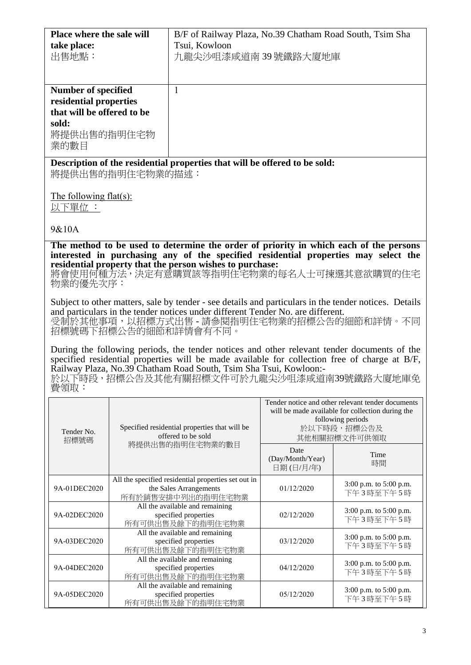| Place where the sale will  |                  | B/F of Railway Plaza, No.39 Chatham Road South, Tsim Sha                                              |                                  |                                                   |
|----------------------------|------------------|-------------------------------------------------------------------------------------------------------|----------------------------------|---------------------------------------------------|
| take place:                |                  | Tsui, Kowloon                                                                                         |                                  |                                                   |
| 出售地點:                      |                  | 九龍尖沙咀漆咸道南39號鐵路大廈地庫                                                                                    |                                  |                                                   |
|                            |                  |                                                                                                       |                                  |                                                   |
|                            |                  |                                                                                                       |                                  |                                                   |
|                            |                  |                                                                                                       |                                  |                                                   |
| <b>Number of specified</b> |                  | $\mathbf{1}$                                                                                          |                                  |                                                   |
| residential properties     |                  |                                                                                                       |                                  |                                                   |
| that will be offered to be |                  |                                                                                                       |                                  |                                                   |
| sold:                      |                  |                                                                                                       |                                  |                                                   |
| 將提供出售的指明住宅物                |                  |                                                                                                       |                                  |                                                   |
| 業的數目                       |                  |                                                                                                       |                                  |                                                   |
|                            |                  |                                                                                                       |                                  |                                                   |
|                            |                  | Description of the residential properties that will be offered to be sold:                            |                                  |                                                   |
|                            | 將提供出售的指明住宅物業的描述: |                                                                                                       |                                  |                                                   |
|                            |                  |                                                                                                       |                                  |                                                   |
| The following flat(s):     |                  |                                                                                                       |                                  |                                                   |
| 以下單位:                      |                  |                                                                                                       |                                  |                                                   |
|                            |                  |                                                                                                       |                                  |                                                   |
| 9&10A                      |                  |                                                                                                       |                                  |                                                   |
|                            |                  |                                                                                                       |                                  |                                                   |
|                            |                  | The method to be used to determine the order of priority in which each of the persons                 |                                  |                                                   |
|                            |                  | interested in purchasing any of the specified residential properties may select the                   |                                  |                                                   |
|                            |                  | residential property that the person wishes to purchase:                                              |                                  |                                                   |
|                            |                  | 將會使用何種方法,決定有意購買該等指明住宅物業的每名人士可揀選其意欲購買的住宅                                                               |                                  |                                                   |
| 物業的優先次序:                   |                  |                                                                                                       |                                  |                                                   |
|                            |                  | Subject to other matters, sale by tender - see details and particulars in the tender notices. Details |                                  |                                                   |
|                            |                  | and particulars in the tender notices under different Tender No. are different.                       |                                  |                                                   |
|                            |                  | 受制於其他事項,以招標方式出售-請參閱指明住宅物業的招標公告的細節和詳情。不同                                                               |                                  |                                                   |
|                            |                  | 招標號碼下招標公告的細節和詳情會有不同。                                                                                  |                                  |                                                   |
|                            |                  |                                                                                                       |                                  |                                                   |
|                            |                  | During the following periods, the tender notices and other relevant tender documents of the           |                                  |                                                   |
|                            |                  | specified residential properties will be made available for collection free of charge at B/F,         |                                  |                                                   |
|                            |                  | Railway Plaza, No.39 Chatham Road South, Tsim Sha Tsui, Kowloon:-                                     |                                  |                                                   |
|                            |                  | 於以下時段,招標公告及其他有關招標文件可於九龍尖沙咀漆咸道南39號鐵路大廈地庫免                                                              |                                  |                                                   |
| 費領取:                       |                  |                                                                                                       |                                  |                                                   |
|                            |                  |                                                                                                       |                                  | Tender notice and other relevant tender documents |
|                            |                  |                                                                                                       |                                  | will be made available for collection during the  |
| Tender No.                 |                  |                                                                                                       | following periods<br>於以下時段,招標公告及 |                                                   |
|                            |                  | Specified residential properties that will be<br>offered to be sold                                   |                                  |                                                   |
| 招標號碼                       |                  | 將提供出售的指明住宅物業的數目                                                                                       |                                  | 其他相關招標文件可供領取                                      |
|                            |                  |                                                                                                       | Date                             | Time                                              |
|                            |                  |                                                                                                       | (Day/Month/Year)                 | 時間                                                |
|                            |                  |                                                                                                       | 日期(日/月/年)                        |                                                   |
|                            |                  | All the specified residential properties set out in                                                   | 01/12/2020                       | 3:00 p.m. to 5:00 p.m.                            |
| 9A-01DEC2020               |                  | the Sales Arrangements<br>所有於銷售安排中列出的指明住宅物業                                                           |                                  | 下午3時至下午5時                                         |
|                            |                  | All the available and remaining                                                                       |                                  |                                                   |
| 9A-02DEC2020               |                  | specified properties                                                                                  | 02/12/2020                       | 3:00 p.m. to 5:00 p.m.                            |
|                            |                  | 所有可供出售及餘下的指明住宅物業                                                                                      |                                  | 下午3時至下午5時                                         |
|                            |                  | All the available and remaining                                                                       |                                  | 3:00 p.m. to 5:00 p.m.                            |
| 9A-03DEC2020               |                  | specified properties                                                                                  | 03/12/2020                       | 下午3時至下午5時                                         |
|                            |                  | 所有可供出售及餘下的指明住宅物業                                                                                      |                                  |                                                   |
| 9A-04DEC2020               |                  | All the available and remaining<br>specified properties                                               | 04/12/2020                       | 3:00 p.m. to 5:00 p.m.                            |
|                            |                  | 所有可供出售及餘下的指明住宅物業                                                                                      |                                  | 下午3時至下午5時                                         |
|                            |                  | All the available and remaining                                                                       |                                  |                                                   |
| 9A-05DEC2020               |                  | specified properties<br>EECHLUBER 44 N three University                                               | 05/12/2020                       | 3:00 p.m. to 5:00 p.m.<br>下午3時至下午5時               |

specified properties 所有可供出售及餘下的指明住宅物業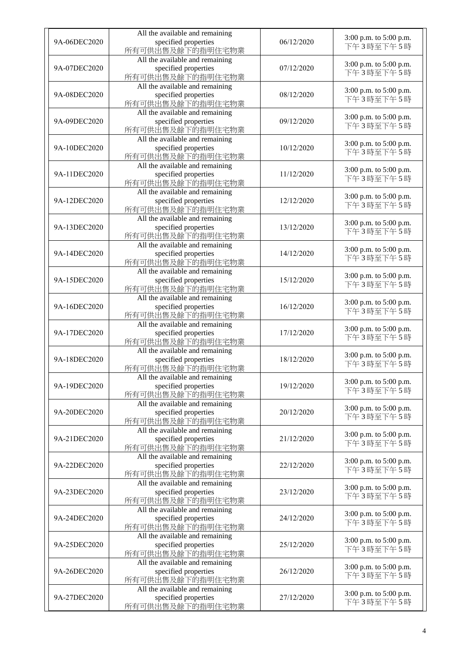| 9A-06DEC2020 | All the available and remaining<br>specified properties<br>所有可供出售及餘下的指明住宅物業 | 06/12/2020 | 3:00 p.m. to 5:00 p.m.<br>下午3時至下午5時 |
|--------------|-----------------------------------------------------------------------------|------------|-------------------------------------|
| 9A-07DEC2020 | All the available and remaining<br>specified properties<br>所有可供出售及餘下的指明住宅物業 | 07/12/2020 | 3:00 p.m. to 5:00 p.m.<br>下午3時至下午5時 |
| 9A-08DEC2020 | All the available and remaining<br>specified properties<br>所有可供出售及餘下的指明住宅物業 | 08/12/2020 | 3:00 p.m. to 5:00 p.m.<br>下午3時至下午5時 |
| 9A-09DEC2020 | All the available and remaining<br>specified properties<br>所有可供出售及餘下的指明住宅物業 | 09/12/2020 | 3:00 p.m. to 5:00 p.m.<br>下午3時至下午5時 |
| 9A-10DEC2020 | All the available and remaining<br>specified properties<br>所有可供出售及餘下的指明住宅物業 | 10/12/2020 | 3:00 p.m. to 5:00 p.m.<br>下午3時至下午5時 |
| 9A-11DEC2020 | All the available and remaining<br>specified properties<br>所有可供出售及餘下的指明住宅物業 | 11/12/2020 | 3:00 p.m. to 5:00 p.m.<br>下午3時至下午5時 |
| 9A-12DEC2020 | All the available and remaining<br>specified properties<br>所有可供出售及餘下的指明住宅物業 | 12/12/2020 | 3:00 p.m. to 5:00 p.m.<br>下午3時至下午5時 |
| 9A-13DEC2020 | All the available and remaining<br>specified properties<br>所有可供出售及餘下的指明住宅物業 | 13/12/2020 | 3:00 p.m. to 5:00 p.m.<br>下午3時至下午5時 |
| 9A-14DEC2020 | All the available and remaining<br>specified properties<br>所有可供出售及餘下的指明住宅物業 | 14/12/2020 | 3:00 p.m. to 5:00 p.m.<br>下午3時至下午5時 |
| 9A-15DEC2020 | All the available and remaining<br>specified properties<br>所有可供出售及餘下的指明住宅物業 | 15/12/2020 | 3:00 p.m. to 5:00 p.m.<br>下午3時至下午5時 |
| 9A-16DEC2020 | All the available and remaining<br>specified properties<br>所有可供出售及餘下的指明住宅物業 | 16/12/2020 | 3:00 p.m. to 5:00 p.m.<br>下午3時至下午5時 |
| 9A-17DEC2020 | All the available and remaining<br>specified properties<br>所有可供出售及餘下的指明住宅物業 | 17/12/2020 | 3:00 p.m. to 5:00 p.m.<br>下午3時至下午5時 |
| 9A-18DEC2020 | All the available and remaining<br>specified properties<br>所有可供出售及餘下的指明住宅物業 | 18/12/2020 | 3:00 p.m. to 5:00 p.m.<br>下午3時至下午5時 |
| 9A-19DEC2020 | All the available and remaining<br>specified properties<br>所有可供出售及餘下的指明住宅物業 | 19/12/2020 | 3:00 p.m. to 5:00 p.m.<br>下午3時至下午5時 |
| 9A-20DEC2020 | All the available and remaining<br>specified properties<br>所有可供出售及餘下的指明住宅物業 | 20/12/2020 | 3:00 p.m. to 5:00 p.m.<br>下午3時至下午5時 |
| 9A-21DEC2020 | All the available and remaining<br>specified properties<br>所有可供出售及餘下的指明住宅物業 | 21/12/2020 | 3:00 p.m. to 5:00 p.m.<br>下午3時至下午5時 |
| 9A-22DEC2020 | All the available and remaining<br>specified properties<br>所有可供出售及餘下的指明住宅物業 | 22/12/2020 | 3:00 p.m. to 5:00 p.m.<br>下午3時至下午5時 |
| 9A-23DEC2020 | All the available and remaining<br>specified properties<br>所有可供出售及餘下的指明住宅物業 | 23/12/2020 | 3:00 p.m. to 5:00 p.m.<br>下午3時至下午5時 |
| 9A-24DEC2020 | All the available and remaining<br>specified properties<br>所有可供出售及餘下的指明住宅物業 | 24/12/2020 | 3:00 p.m. to 5:00 p.m.<br>下午3時至下午5時 |
| 9A-25DEC2020 | All the available and remaining<br>specified properties<br>所有可供出售及餘下的指明住宅物業 | 25/12/2020 | 3:00 p.m. to 5:00 p.m.<br>下午3時至下午5時 |
| 9A-26DEC2020 | All the available and remaining<br>specified properties<br>所有可供出售及餘下的指明住宅物業 | 26/12/2020 | 3:00 p.m. to 5:00 p.m.<br>下午3時至下午5時 |
| 9A-27DEC2020 | All the available and remaining<br>specified properties<br>所有可供出售及餘下的指明住宅物業 | 27/12/2020 | 3:00 p.m. to 5:00 p.m.<br>下午3時至下午5時 |